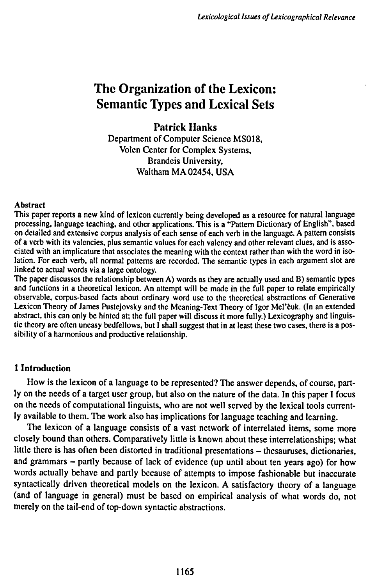# **The Organization of the Lexicon: Semantic types and Lexical Sets**

## **Patrick Hanks**

Department of Computer Science MS018, Volen Center for Complex Systems, Brandeis University, Waltham MA 02454, USA

#### Abstract

This paper reports a new kind of lexicon currently being developed as a resource for natural language processing, language teaching, and other applications. This is a "Pattern Dictionary of English", based on detailed and extensive corpus analysis of each sense of each verb in the language. A pattern consists of a verb with its valencies, plus semantic values for each valency and other relevant clues, and is associated with an implicature that associates the meaning with the context rather than with the word in isolation. For each verb, all normal patterns are recorded. The semantic types in each argument slot are linked to actual words via a large ontology.

The paper discusses the relationship between A) words as they are actually used and B) semantic types and functions in a theoretical lexicon. An attempt will be made in the full paper to relate empirically observable, corpus-based facts about ordinary word use to the theoretical abstractions of Generative Lexicon Theory of James Pustejovsky and the Meaning-Text Theory of Igor Mel'èuk. (In an extended abstract, this can only be hinted at; the full paper will discuss it more fully.) Lexicography and linguistic theory are often uneasy bedfellows, but I shall suggest that in at least these two cases, there is a possibility of a harmonious and productive relationship.

## **1 Introduction**

How is the lexicon of a language to be represented? The answer depends, of course, partly on the needs of a target user group, but also on the nature of the data. In this paper I focus on the needs of computational linguists, who are not well served by the lexical tools currently available to them. The work also has implications for language teaching and learning.

The lexicon of a language consists of a vast network of interrelated items, some more closely bound than others. Comparatively little is known about these interrelationships; what little there is has often been distorted in traditional presentations – thesauruses, dictionaries, and grammars - partly because of lack of evidence (up until about ten years ago) for how words actually behave and partly because of attempts to impose fashionable but inaccurate syntactically driven theoretical models on the lexicon. A satisfactory theory of a language (and of language in general) must be based on empirical analysis of what words do, not merely on the tail-end of top-down syntactic abstractions.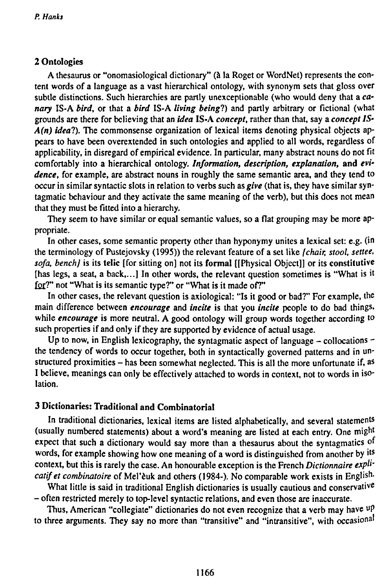### **2 Ontologies**

**A thesaurus or "onomasiological dictionary" (à la Roget or WordNet) represents the content words of a language as a vast hierarchical ontology, with synonym sets that gloss over subtle distinctions. Such hierarchies are partly unexceptionable (who would deny that a** *canary* **IS-A** *bird,* **or that a** *bird* **IS-A** *living being!)* **and partly arbitrary or fictional (what grounds are there for believing that an** *idea* **IS-A** *concept,* **rather than that, say a** *concept IS-A(n) idea*?). The commonsense organization of lexical items denoting physical objects ap**pears to have been overextended in such ontologies and applied to all words, regardless of applicability, in disregard of empirical evidence. In particular, many abstract nouns do not fit comfortably into a hierarchical ontology.** *Information, description, explanation,* **and** *evidence,* **for example, are abstract nouns in roughly the same semantic area, and they tend to** occur in similar syntactic slots in relation to verbs such as give (that is, they have similar syn**tagmatic behaviour and they activate the same meaning of the verb), but this does not mean that they must be fitted into a hierarchy.**

**They seem to have similar or equal semantic values, so a flat grouping may be more appropriate.**

**In other cases, some semantic property other than hyponymy unites a lexical set: e.g. (in the terminology of Pustejovsky (1995)) the relevant feature of a set like** *{chair, stool, settee, sofa, bench}* **is its telic [for sitting on] not its formal [[Physical Object]] or its constitutive [has legs, a seat, a back,...] In other words, the relevant question sometimes is "What is it £oi7' not "What is its semantic type?" or "What is it made of?"**

**In other cases, the relevant question is axiological: "Is it good or bad?" For example, the main difference between** *encourage* **and** *incite* **is that you** *incite* **people to do bad things, while** *encourage* **is more neutral. A good ontology will group words together according to such properties if and only if they are supported by evidence of actual usage.**

**Up to now, in English lexicography, the syntagmatic aspect of language - collocations the tendency of words to occur together, both in syntactically governed patterns and in unstructured proximities - has been somewhat neglected. This is all the more unfortunate if, <sup>a</sup> s I believe, meanings can only be effectively attached to words in context, not to words in isolation.**

## **3 Dictionaries: Traditional and Combinatorial**

**In traditional dictionaries, lexical items are listed alphabetically, and several statements (usually numbered statements) about a word's meaning are listed at each entry. One might expect that such a dictionary would say more than a thesaurus about the syntagmatics of words, for example showing how one meaning of a word is distinguished from another by ¡ ts context, but this is rarely the case. An honourable exception is the French** *Dictionnaire expU' catifet combinatoire* **of Mel'èuk and others (1984-). No comparable work exists in English-**

**What little is said in traditional English dictionaries is usually cautious and conservative - often restricted merely to top-level syntactic relations, and even those are inaccurate.**

**Thus, American "collegiate" dictionaries do not even recognize that a verb may have up to three arguments. They say no more than "transitive" and "intransitive", with occasional**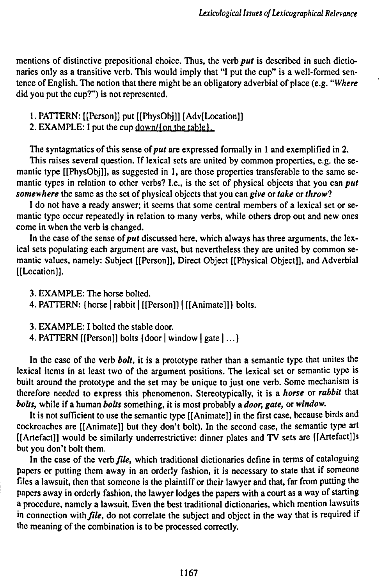**mentions of distinctive prepositional choice. Thus, the verb** *put* **is described in such dictionaries only as a transitive verb. This would imply that "I put the cup" is a well-formed sentence of English. The notion that there might be an obligatory adverbial of place (e.g.** *"Where* **did you put the cup?") is not represented.**

- **1. PATTERN: [[Person]] put [[PhysObj]] [Adv[Location]]**
- **2. EXAMPLE: <sup>I</sup> put the cup down/foni the table 1.**

**The syntagmatics of this sense** *ofput* **are expressed formally in <sup>1</sup> and exemplified in 2.**

**This raises several question. If lexical sets are united by common properties, e.g. the semantic type [[PhysObj]], as suggested in 1, are those properties transferable to the same semantic types in relation to other verbs? I.e., is the set of physical objects that you can** *put somewhere* **the same as the set of physical objects that you can** *give* **or** *take* **or** *throw!*

**<sup>I</sup> do not have a ready answer; it seems that some central members of a lexical set or semantic type occur repeatedly in relation to many verbs, while others drop out and new ones come in when the verb is changed.**

**In the case of the sense of***put* **discussed here, which always has three arguments, the lexical sets populating each argument are vast, but nevertheless they are united by common semantic values, namely: Subject [[Person]], Direct Object [[Physical Object]], and Adverbial [[Location]].**

**3. EXAMPLE: The horse bolted.**

**4. PATTERN: [horse <sup>|</sup> rabbit <sup>|</sup> [[Person]] <sup>|</sup> [[Animate]]} bolts.**

**3. EXAMPLE: I bolted the stable door.**

**4. PATTERN [[Person]] bolts [door <sup>|</sup> window <sup>|</sup> gate |...}**

**In the case of the verb** *bolt,* **it is a prototype rather than a semantic type that unites the lexical items in at least two of the argument positions. The lexical set or semantic type is built around the prototype and the set may be unique to just one verb. Some mechanism is therefore needed to express this phenomenon. Stereotypically, it is a** *horse* **or** *rabbit* **that** *bolts,* **while if a human** *bolts* **something, it is most probably a** *door, gate,* **or** *window.*

**It is not sufficient to use the semantic type [[Animate]] in the first case, because birds and cockroaches are [[Animate]] but they don't bolt). In the second case, the semantic type art [[Artefact]]** would be similarly underrestrictive: dinner plates and TV sets are [[Artefact]]s **but you don't bolt them.**

**In the case of the** *verb file,* **which traditional dictionaries define in terms of cataloguing papers or putting them away in an orderly fashion, it is necessary to state that if someone files a lawsuit, then that someone is the plaintiff or their lawyer and that, far from putting the papers away in orderly fashion, the lawyer lodges the papers with a court as a way of starting a procedure, namely a lawsuit Even the best traditional dictionaries, which mention lawsuits in connection with***file,* **do not correlate the subject and object in the way that is required if the meaning of the combination is to be processed correctly.**